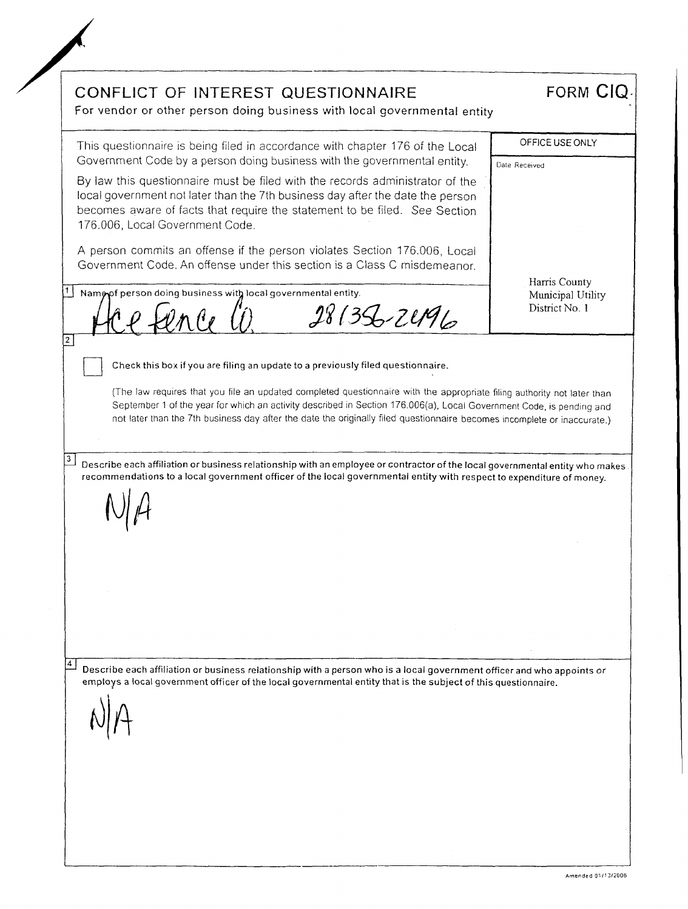CONFLICT OF INTEREST QUESTIONNAIRE FORM CIQ For vendor or other person doing business with local governmental entity OFFICE USE ONLY This questionnaire is being filed in accordance with chapter 176 of the Local Government Code by a person doing business with the governmental entity. Date Received By law this questionnaire must be filed with the records administrator of the local government not later than the 7th business day after the date the person becomes aware of facts that require the statement to be filed. See Section 176.006, Local Government Code. A person commits an offense if the person violates Section 176.006, Local Government Code. An offense under this section is a Class C misdemeanor. Harris County 1 Name of person doing business with local governmental entity. Municipal Utility  $\hat{\psi}_{\Lambda}$ er (1)  $\qquad$  28/35-2496 District No. 1  $\overline{2}$ Check this box if you are filing an update to a previously filed questionnaire. (The law requires that you<br>September 1 of the year for<br>not later than the 7th busin<br>tibe each affiliation or busin<br>mmendations to a local gov (The law requires that you file an updated completed questionnaire with the appropriate filing authority not later than September 1 of the year for which an activity described in Section 176.006(a), Local Government Code, is pending and not later than the 7th business day after the date the originally filed questionnaire becomes incomplete or inaccurate.)  $|3|$ Describe each affiliation or business relationship with an employee or contractor of the local governmental entity who makes recommendations to a local government officer of the local governmental entity with respect to expenditure of money.  $\vert 4 \vert$ Describe each affiliation or business relationship with a person who is a local government officer and who appoints or employs a local government officer of the local governmental entity that is the subject of this questionnaire.  $A|A$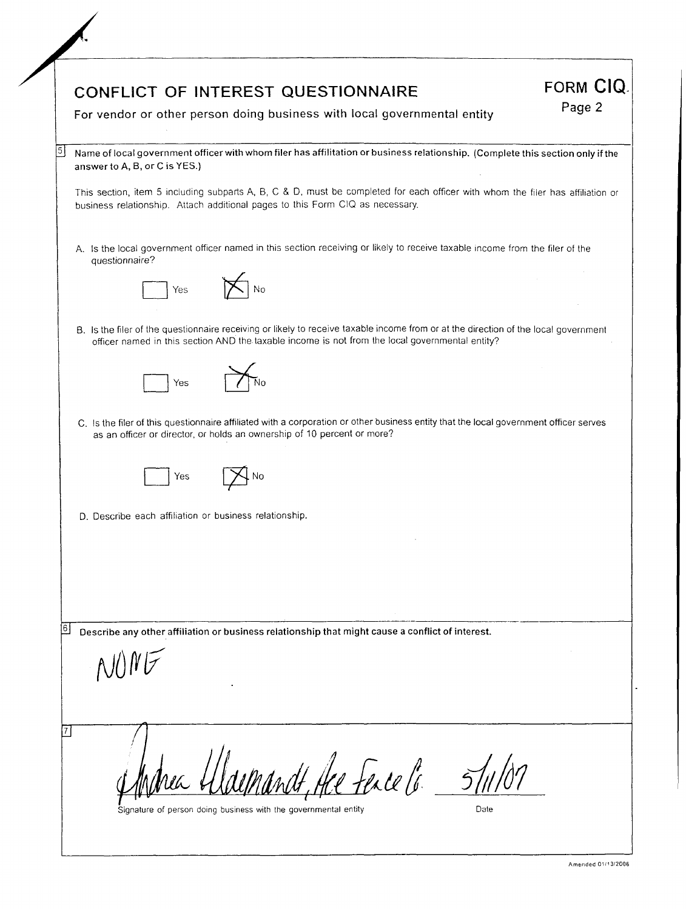|   | For vendor or other person doing business with local governmental entity                                                                                                                                                               | Page 2 |
|---|----------------------------------------------------------------------------------------------------------------------------------------------------------------------------------------------------------------------------------------|--------|
| 5 | Name of local government officer with whom filer has affilitation or business relationship. (Complete this section only if the<br>answer to A, B, or C is YES.)                                                                        |        |
|   | This section, item 5 including subparts A, B, C & D, must be completed for each officer with whom the filer has affiliation or<br>business relationship. Attach additional pages to this Form CIQ as necessary.                        |        |
|   | A. Is the local government officer named in this section receiving or likely to receive taxable income from the filer of the<br>questionnaire?                                                                                         |        |
|   | No<br>Yes                                                                                                                                                                                                                              |        |
|   | B. Is the filer of the questionnaire receiving or likely to receive taxable income from or at the direction of the local government<br>officer named in this section AND the taxable income is not from the local governmental entity? |        |
|   | Yes                                                                                                                                                                                                                                    |        |
|   | C. Is the filer of this questionnaire affiliated with a corporation or other business entity that the local government officer serves<br>as an officer or director, or holds an ownership of 10 percent or more?                       |        |
|   | Yes                                                                                                                                                                                                                                    |        |
|   | D. Describe each affiliation or business relationship.                                                                                                                                                                                 |        |
|   |                                                                                                                                                                                                                                        |        |
|   |                                                                                                                                                                                                                                        |        |
|   |                                                                                                                                                                                                                                        |        |
| 6 | Describe any other affiliation or business relationship that might cause a conflict of interest.                                                                                                                                       |        |
|   |                                                                                                                                                                                                                                        |        |
|   |                                                                                                                                                                                                                                        |        |
|   |                                                                                                                                                                                                                                        |        |
|   | Hee Fence 16.                                                                                                                                                                                                                          |        |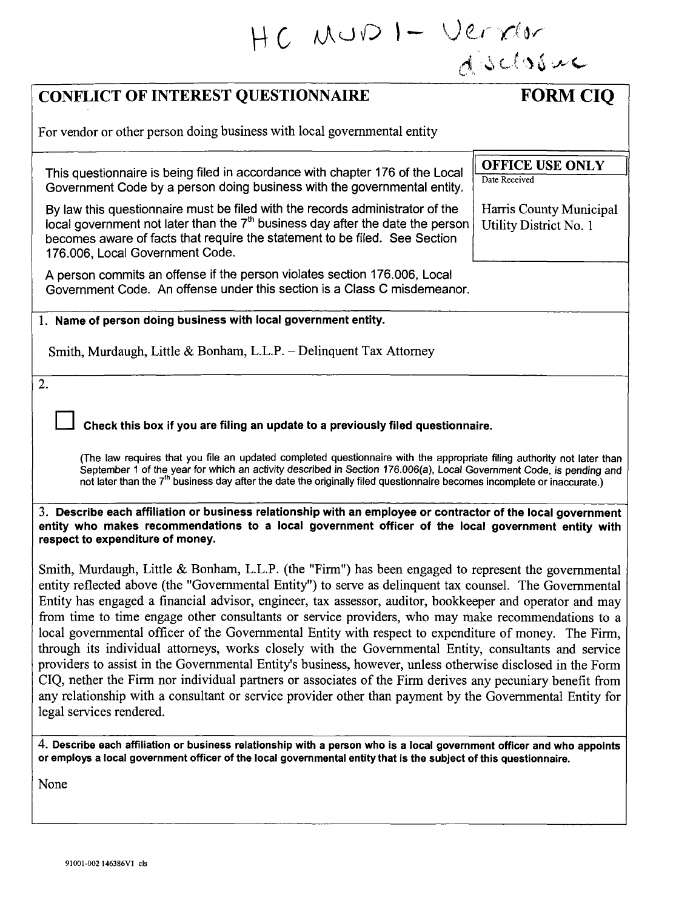| HC MUDI-Verxer                                                                                                                                                                                                                                                                                                                                                                                                                                                                                                                                                                                                                                                                                                                                                                                                                                                                                                                                                                                                         |                                                   |
|------------------------------------------------------------------------------------------------------------------------------------------------------------------------------------------------------------------------------------------------------------------------------------------------------------------------------------------------------------------------------------------------------------------------------------------------------------------------------------------------------------------------------------------------------------------------------------------------------------------------------------------------------------------------------------------------------------------------------------------------------------------------------------------------------------------------------------------------------------------------------------------------------------------------------------------------------------------------------------------------------------------------|---------------------------------------------------|
|                                                                                                                                                                                                                                                                                                                                                                                                                                                                                                                                                                                                                                                                                                                                                                                                                                                                                                                                                                                                                        |                                                   |
| <b>CONFLICT OF INTEREST QUESTIONNAIRE</b>                                                                                                                                                                                                                                                                                                                                                                                                                                                                                                                                                                                                                                                                                                                                                                                                                                                                                                                                                                              | <b>FORM CIQ</b>                                   |
| For vendor or other person doing business with local governmental entity                                                                                                                                                                                                                                                                                                                                                                                                                                                                                                                                                                                                                                                                                                                                                                                                                                                                                                                                               |                                                   |
| This questionnaire is being filed in accordance with chapter 176 of the Local<br>Government Code by a person doing business with the governmental entity.                                                                                                                                                                                                                                                                                                                                                                                                                                                                                                                                                                                                                                                                                                                                                                                                                                                              | <b>OFFICE USE ONLY</b><br>Date Received           |
| By law this questionnaire must be filed with the records administrator of the<br>local government not later than the $7th$ business day after the date the person<br>becomes aware of facts that require the statement to be filed. See Section<br>176.006, Local Government Code.                                                                                                                                                                                                                                                                                                                                                                                                                                                                                                                                                                                                                                                                                                                                     | Harris County Municipal<br>Utility District No. 1 |
| A person commits an offense if the person violates section 176.006, Local<br>Government Code. An offense under this section is a Class C misdemeanor.                                                                                                                                                                                                                                                                                                                                                                                                                                                                                                                                                                                                                                                                                                                                                                                                                                                                  |                                                   |
| 1. Name of person doing business with local government entity.                                                                                                                                                                                                                                                                                                                                                                                                                                                                                                                                                                                                                                                                                                                                                                                                                                                                                                                                                         |                                                   |
| Smith, Murdaugh, Little & Bonham, L.L.P. - Delinquent Tax Attornev                                                                                                                                                                                                                                                                                                                                                                                                                                                                                                                                                                                                                                                                                                                                                                                                                                                                                                                                                     |                                                   |
| 2.                                                                                                                                                                                                                                                                                                                                                                                                                                                                                                                                                                                                                                                                                                                                                                                                                                                                                                                                                                                                                     |                                                   |
| Check this box if you are filing an update to a previously filed questionnaire.                                                                                                                                                                                                                                                                                                                                                                                                                                                                                                                                                                                                                                                                                                                                                                                                                                                                                                                                        |                                                   |
| (The law requires that you file an updated completed questionnaire with the appropriate filing authority not later than<br>September 1 of the year for which an activity described in Section 176.006(a), Local Government Code, is pending and<br>not later than the 7 <sup>th</sup> business day after the date the originally filed questionnaire becomes incomplete or inaccurate.)                                                                                                                                                                                                                                                                                                                                                                                                                                                                                                                                                                                                                                |                                                   |
| 3. Describe each affiliation or business relationship with an employee or contractor of the local government<br>entity who makes recommendations to a local government officer of the local government entity with<br>respect to expenditure of money.                                                                                                                                                                                                                                                                                                                                                                                                                                                                                                                                                                                                                                                                                                                                                                 |                                                   |
| Smith, Murdaugh, Little & Bonham, L.L.P. (the "Firm") has been engaged to represent the governmental<br>entity reflected above (the "Governmental Entity") to serve as delinquent tax counsel. The Governmental<br>Entity has engaged a financial advisor, engineer, tax assessor, auditor, bookkeeper and operator and may<br>from time to time engage other consultants or service providers, who may make recommendations to a<br>local governmental officer of the Governmental Entity with respect to expenditure of money. The Firm,<br>through its individual attorneys, works closely with the Governmental Entity, consultants and service<br>providers to assist in the Governmental Entity's business, however, unless otherwise disclosed in the Form<br>CIQ, nether the Firm nor individual partners or associates of the Firm derives any pecuniary benefit from<br>any relationship with a consultant or service provider other than payment by the Governmental Entity for<br>legal services rendered. |                                                   |
| 4. Describe each affiliation or business relationship with a person who is a local government officer and who appoints<br>or employs a local government officer of the local governmental entity that is the subject of this questionnaire.                                                                                                                                                                                                                                                                                                                                                                                                                                                                                                                                                                                                                                                                                                                                                                            |                                                   |
| None                                                                                                                                                                                                                                                                                                                                                                                                                                                                                                                                                                                                                                                                                                                                                                                                                                                                                                                                                                                                                   |                                                   |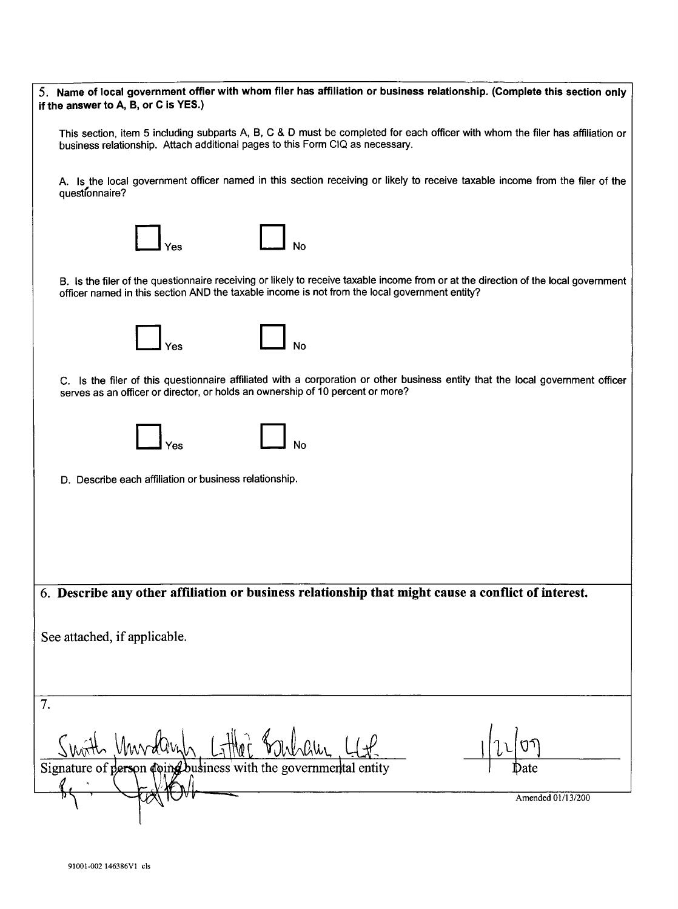| 5. Name of local government offier with whom filer has affiliation or business relationship. (Complete this section only<br>if the answer to A, B, or C is YES.)                                                                     |
|--------------------------------------------------------------------------------------------------------------------------------------------------------------------------------------------------------------------------------------|
| This section, item 5 including subparts A, B, C & D must be completed for each officer with whom the filer has affiliation or<br>business relationship. Attach additional pages to this Form CIQ as necessary.                       |
| A. Is the local government officer named in this section receiving or likely to receive taxable income from the filer of the<br>questionnaire?                                                                                       |
|                                                                                                                                                                                                                                      |
| B. Is the filer of the questionnaire receiving or likely to receive taxable income from or at the direction of the local government<br>officer named in this section AND the taxable income is not from the local government entity? |
|                                                                                                                                                                                                                                      |
| C. Is the filer of this questionnaire affiliated with a corporation or other business entity that the local government officer<br>serves as an officer or director, or holds an ownership of 10 percent or more?                     |
| No                                                                                                                                                                                                                                   |
| D. Describe each affiliation or business relationship.                                                                                                                                                                               |
|                                                                                                                                                                                                                                      |
|                                                                                                                                                                                                                                      |
| 6. Describe any other affiliation or business relationship that might cause a conflict of interest.                                                                                                                                  |
| See attached, if applicable.                                                                                                                                                                                                         |
|                                                                                                                                                                                                                                      |
| 7.                                                                                                                                                                                                                                   |
| Signature of person coing business with the governmental entity                                                                                                                                                                      |
| Amended 01/13/200                                                                                                                                                                                                                    |
|                                                                                                                                                                                                                                      |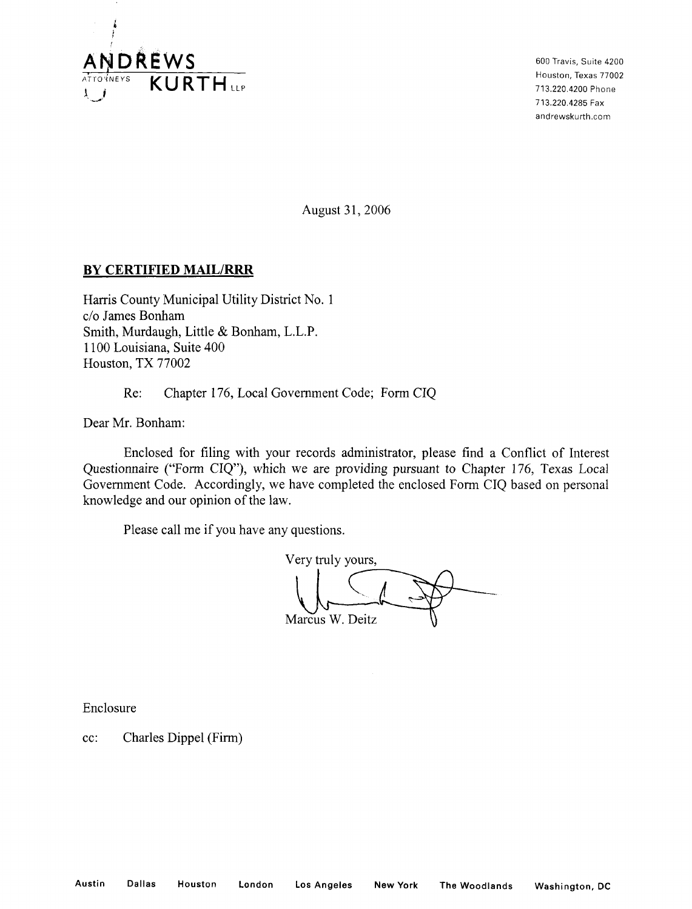

600 Travis, Suite 4200 Houston, Texas 77002 713.220.4200 Phone 713.220.4285 Fax andrewskurth.com

August 31, 2006

## **BY CERTIFIED MAIL/RRR**

Harris County Municipal Utility District No. 1 c/o James Bonham Smith, Murdaugh, Little & Bonham, L.L.P. 1100 Louisiana, Suite 400 Houston, TX 77002

Re: Chapter 176, Local Government Code; Form CIQ

Dear Mr. Bonham:

Enclosed for filing with your records administrator, please find a Conflict of Interest Questionnaire ("Form CIQ"), which we are providing pursuant to Chapter 176, Texas Local Government Code. Accordingly, we have completed the enclosed Form CIQ based on personal knowledge and our opinion of the law.

Please call me if you have any questions.

Marcus W. Deitz Very truly yours,

Enclosure

cc: Charles Dippel (Firm)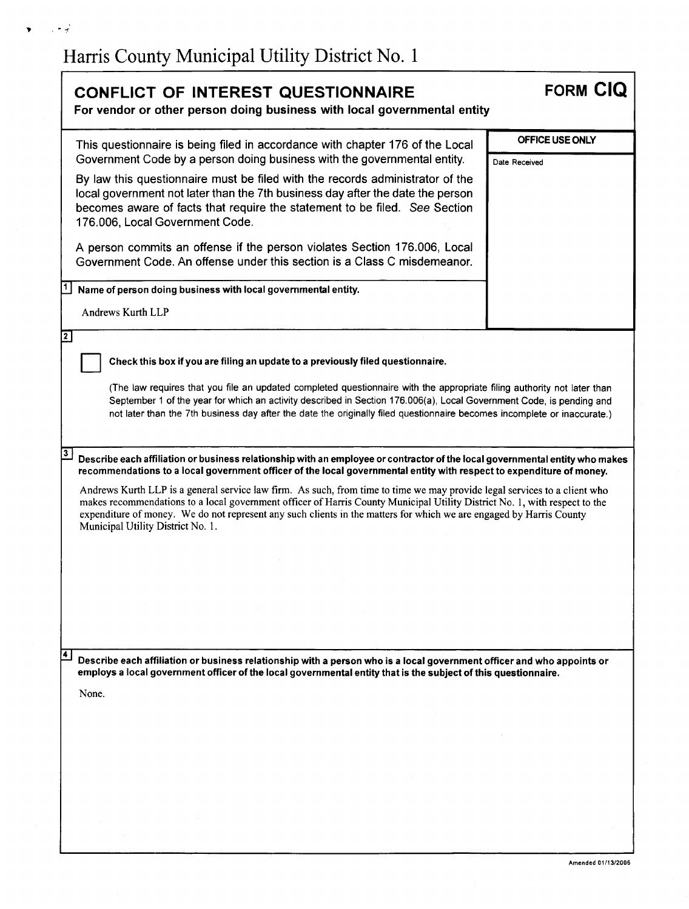$\sim 10^{-2}$ 

 $\blacktriangledown$ 

| <b>CONFLICT OF INTEREST QUESTIONNAIRE</b><br>For vendor or other person doing business with local governmental entity                                                                                                                                                                                                                                                                                                                                                                                                                                                                                                                                                                                  | <b>FORM CIQ</b>                  |
|--------------------------------------------------------------------------------------------------------------------------------------------------------------------------------------------------------------------------------------------------------------------------------------------------------------------------------------------------------------------------------------------------------------------------------------------------------------------------------------------------------------------------------------------------------------------------------------------------------------------------------------------------------------------------------------------------------|----------------------------------|
| This questionnaire is being filed in accordance with chapter 176 of the Local<br>Government Code by a person doing business with the governmental entity.<br>By law this questionnaire must be filed with the records administrator of the<br>local government not later than the 7th business day after the date the person<br>becomes aware of facts that require the statement to be filed. See Section<br>176.006, Local Government Code.<br>A person commits an offense if the person violates Section 176.006, Local<br>Government Code. An offense under this section is a Class C misdemeanor.<br>Name of person doing business with local governmental entity.<br>Andrews Kurth LLP           | OFFICE USE ONLY<br>Date Received |
| $\boxed{2}$<br>Check this box if you are filing an update to a previously filed questionnaire.<br>(The law requires that you file an updated completed questionnaire with the appropriate filing authority not later than<br>September 1 of the year for which an activity described in Section 176.006(a), Local Government Code, is pending and<br>not later than the 7th business day after the date the originally filed questionnaire becomes incomplete or inaccurate.)                                                                                                                                                                                                                          |                                  |
| $\overline{\mathbf{3}}$<br>Describe each affiliation or business relationship with an employee or contractor of the local governmental entity who makes<br>recommendations to a local government officer of the local governmental entity with respect to expenditure of money.<br>Andrews Kurth LLP is a general service law firm. As such, from time to time we may provide legal services to a client who<br>makes recommendations to a local government officer of Harris County Municipal Utility District No. 1, with respect to the<br>expenditure of money. We do not represent any such clients in the matters for which we are engaged by Harris County<br>Municipal Utility District No. 1. |                                  |
| 14.<br>Describe each affiliation or business relationship with a person who is a local government officer and who appoints or<br>employs a local government officer of the local governmental entity that is the subject of this questionnaire.<br>None.                                                                                                                                                                                                                                                                                                                                                                                                                                               |                                  |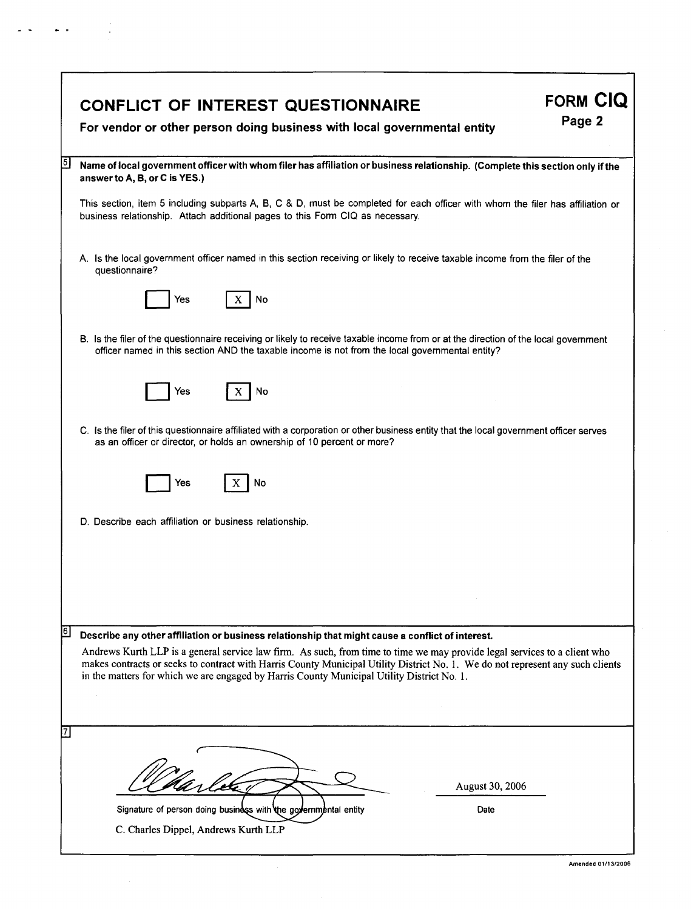|     | <b>FORM CIQ</b><br><b>CONFLICT OF INTEREST QUESTIONNAIRE</b><br>Page 2<br>For vendor or other person doing business with local governmental entity                                                                                                                                                                                                                                                                                                            |
|-----|---------------------------------------------------------------------------------------------------------------------------------------------------------------------------------------------------------------------------------------------------------------------------------------------------------------------------------------------------------------------------------------------------------------------------------------------------------------|
| 15. | Name of local government officer with whom filer has affiliation or business relationship. (Complete this section only if the<br>answer to A, B, or C is YES.)                                                                                                                                                                                                                                                                                                |
|     | This section, item 5 including subparts A, B, C & D, must be completed for each officer with whom the filer has affiliation or<br>business relationship. Attach additional pages to this Form CIQ as necessary.                                                                                                                                                                                                                                               |
|     | A. Is the local government officer named in this section receiving or likely to receive taxable income from the filer of the<br>questionnaire?                                                                                                                                                                                                                                                                                                                |
|     | X <sub>1</sub><br>No<br>Yes                                                                                                                                                                                                                                                                                                                                                                                                                                   |
|     | B. Is the filer of the questionnaire receiving or likely to receive taxable income from or at the direction of the local government<br>officer named in this section AND the taxable income is not from the local governmental entity?                                                                                                                                                                                                                        |
|     | Yes<br>No                                                                                                                                                                                                                                                                                                                                                                                                                                                     |
|     | C. Is the filer of this questionnaire affiliated with a corporation or other business entity that the local government officer serves<br>as an officer or director, or holds an ownership of 10 percent or more?                                                                                                                                                                                                                                              |
|     | No<br>Yes                                                                                                                                                                                                                                                                                                                                                                                                                                                     |
|     | D. Describe each affiliation or business relationship.                                                                                                                                                                                                                                                                                                                                                                                                        |
|     |                                                                                                                                                                                                                                                                                                                                                                                                                                                               |
|     |                                                                                                                                                                                                                                                                                                                                                                                                                                                               |
| 6   | Describe any other affiliation or business relationship that might cause a conflict of interest.<br>Andrews Kurth LLP is a general service law firm. As such, from time to time we may provide legal services to a client who<br>makes contracts or seeks to contract with Harris County Municipal Utility District No. 1. We do not represent any such clients<br>in the matters for which we are engaged by Harris County Municipal Utility District No. 1. |
|     |                                                                                                                                                                                                                                                                                                                                                                                                                                                               |
|     |                                                                                                                                                                                                                                                                                                                                                                                                                                                               |
|     | August 30, 2006                                                                                                                                                                                                                                                                                                                                                                                                                                               |
|     | Signature of person doing business with the governmental entity<br>Date<br>C. Charles Dippel, Andrews Kurth LLP                                                                                                                                                                                                                                                                                                                                               |
|     |                                                                                                                                                                                                                                                                                                                                                                                                                                                               |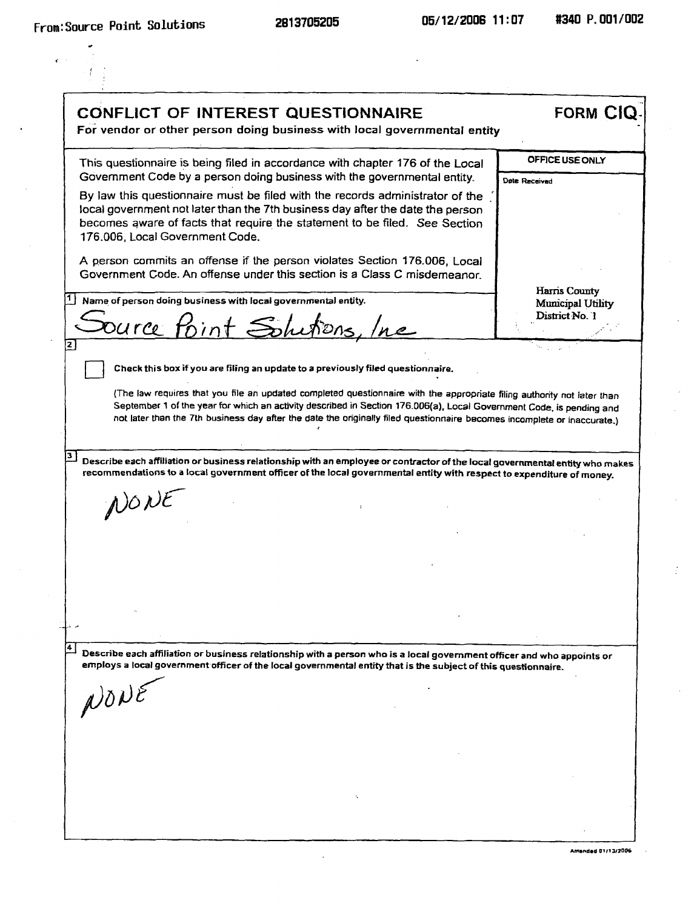$\tilde{\mathcal{L}}$ 

 $\frac{1}{2}$  .

| <b>CONFLICT OF INTEREST QUESTIONNAIRE</b><br>For vendor or other person doing business with local governmental entity                                                                                                                                                                                                                                                                                                                     | <b>FORM CIQ</b>                                      |
|-------------------------------------------------------------------------------------------------------------------------------------------------------------------------------------------------------------------------------------------------------------------------------------------------------------------------------------------------------------------------------------------------------------------------------------------|------------------------------------------------------|
| This questionnaire is being filed in accordance with chapter 176 of the Local                                                                                                                                                                                                                                                                                                                                                             | <b>OFFICE USE ONLY</b>                               |
| Government Code by a person doing business with the governmental entity.<br>By law this questionnaire must be filed with the records administrator of the<br>local government not later than the 7th business day after the date the person<br>becomes aware of facts that require the statement to be filed. See Section<br>176.006, Local Government Code.<br>A person commits an offense if the person violates Section 176.006, Local | Date Received                                        |
| Government Code. An offense under this section is a Class C misdemeanor.<br>Name of person doing business with local governmental entity.<br>Source Point Solutions, Inc                                                                                                                                                                                                                                                                  | Harris County<br>Municipal Utility<br>District No. 1 |
|                                                                                                                                                                                                                                                                                                                                                                                                                                           |                                                      |
| September 1 of the year for which an activity described in Section 176.006(a), Local Government Code, is pending and<br>not later than the 7th business day after the date the originally filed questionnaire becomes incomplete or inaccurate.)                                                                                                                                                                                          |                                                      |
| Describe each affiliation or business relationship with an employee or contractor of the local governmental entity who makes<br>recommendations to a local government officer of the local governmental entity with respect to expenditure of money.                                                                                                                                                                                      |                                                      |
| NONE                                                                                                                                                                                                                                                                                                                                                                                                                                      |                                                      |
|                                                                                                                                                                                                                                                                                                                                                                                                                                           |                                                      |
|                                                                                                                                                                                                                                                                                                                                                                                                                                           |                                                      |
| Describe each affiliation or business relationship with a person who is a local government officer and who appoints or<br>employs a local government officer of the local governmental entity that is the subject of this questionnaire.<br>NONE                                                                                                                                                                                          |                                                      |
|                                                                                                                                                                                                                                                                                                                                                                                                                                           |                                                      |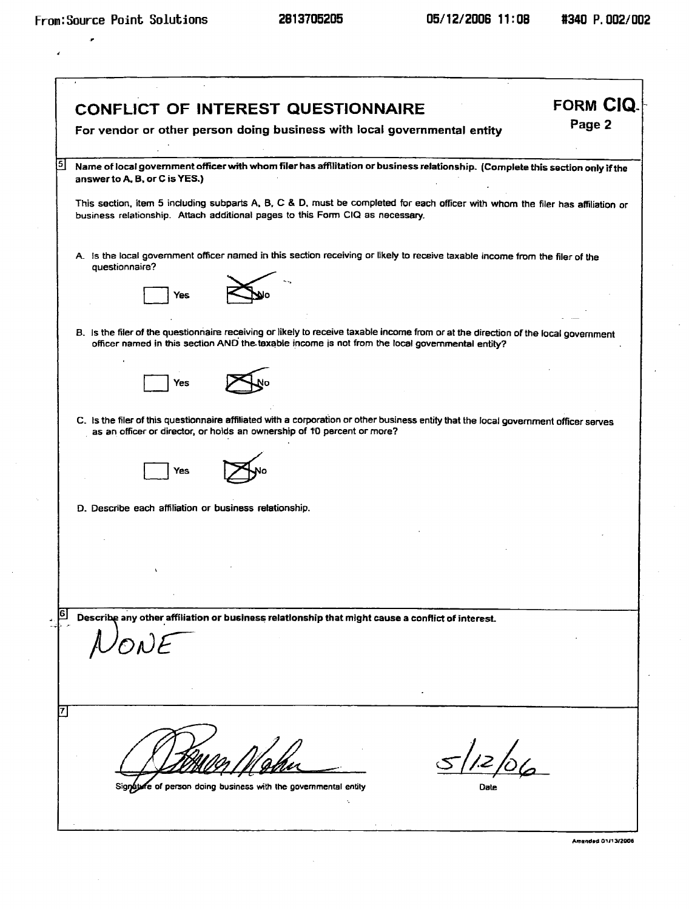J.

|                                                        | <b>CONFLICT OF INTEREST QUESTIONNAIRE</b>                                                                                                                                                                                              | FORM CIQ. |
|--------------------------------------------------------|----------------------------------------------------------------------------------------------------------------------------------------------------------------------------------------------------------------------------------------|-----------|
|                                                        | For vendor or other person doing business with local governmental entity                                                                                                                                                               | Page 2    |
| answer to A, B, or C is YES.)                          | Name of local government officer with whom filer has affilitation or business relationship. (Complete this section only if the                                                                                                         |           |
|                                                        | This section, item 5 including subparts A, B, C & D, must be completed for each officer with whom the filer has affiliation or<br>business relationship. Attach additional pages to this Form CIQ as necessary.                        |           |
| questionnaire?                                         | A. Is the local government officer named in this section receiving or likely to receive taxable income from the filer of the                                                                                                           |           |
| Yes                                                    |                                                                                                                                                                                                                                        |           |
|                                                        | B. Is the filer of the questionnaire receiving or likely to receive taxable income from or at the direction of the local government<br>officer named in this section AND the taxable income is not from the local governmental entity? |           |
| Yes                                                    |                                                                                                                                                                                                                                        |           |
|                                                        | C. Is the filer of this questionnaire affiliated with a corporation or other business entity that the local government officer serves<br>as an officer or director, or holds an ownership of 10 percent or more?                       |           |
| Yes                                                    |                                                                                                                                                                                                                                        |           |
| D. Describe each affiliation or business relationship. |                                                                                                                                                                                                                                        |           |
|                                                        |                                                                                                                                                                                                                                        |           |
|                                                        |                                                                                                                                                                                                                                        |           |
|                                                        | Describe any other affiliation or business relationship that might cause a conflict of interest.                                                                                                                                       |           |
|                                                        |                                                                                                                                                                                                                                        |           |
|                                                        |                                                                                                                                                                                                                                        |           |
|                                                        | 5/12/06                                                                                                                                                                                                                                |           |
|                                                        | Signature of person doing business with the governmental entity<br>÷                                                                                                                                                                   |           |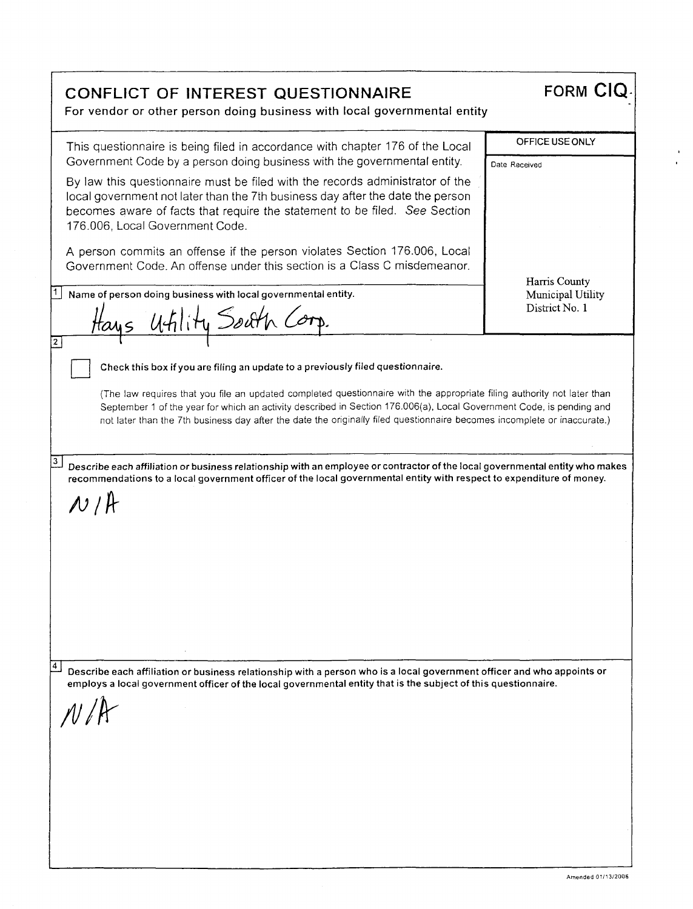**CONFLICT OF INTEREST QUESTIONNAIRE FORM CIQ** For vendor or other person doing business with local governmental entity This questionnaire is being filed in accordance with chapter 176 of the Local Government Code by a person doing business with the governmental entity. By law this questionnaire must be filed with the records administrator of the local government not later than the 7th business day after the date the person becomes aware of facts that require the statement to be filed. See Section 176.006, Local Government Code. A person commits an offense if the person violates Section 176.006, Local Government Code. An offense under this section is a Class C misdemeanor. OFFICE USE ONLY Date Received Harris County Municipal Utility District No. 1 <sup>1</sup> Name of person doing business with local governmental entity. Hays  $u$ fility South **E**  (The law requires that you file an updated completed questionnaire with the appropriate filing authority not later than September 1 of the year for which an activity described in Section 176.006(a), Local Government Code, is pending and not later than the 7th business day after the date the originally filed questionnaire becomes incomplete or inaccurate.) Check this box if you are filing an update to a previously filed questionnaire.  $3$ Describe each affiliation or business relationship with an employee or contractor of the local governmental entity who makes recommendations to a local government officer of the local governmental entity with respect to expenditure of money.  $N$  /  $A$ <sup>±</sup>i Describe each affiliation or business relationship with a person who is a local government officer and who appoints or employs a local government officer of the local governmental entity that is the subject of this questionnaire. Amended 01/13/2006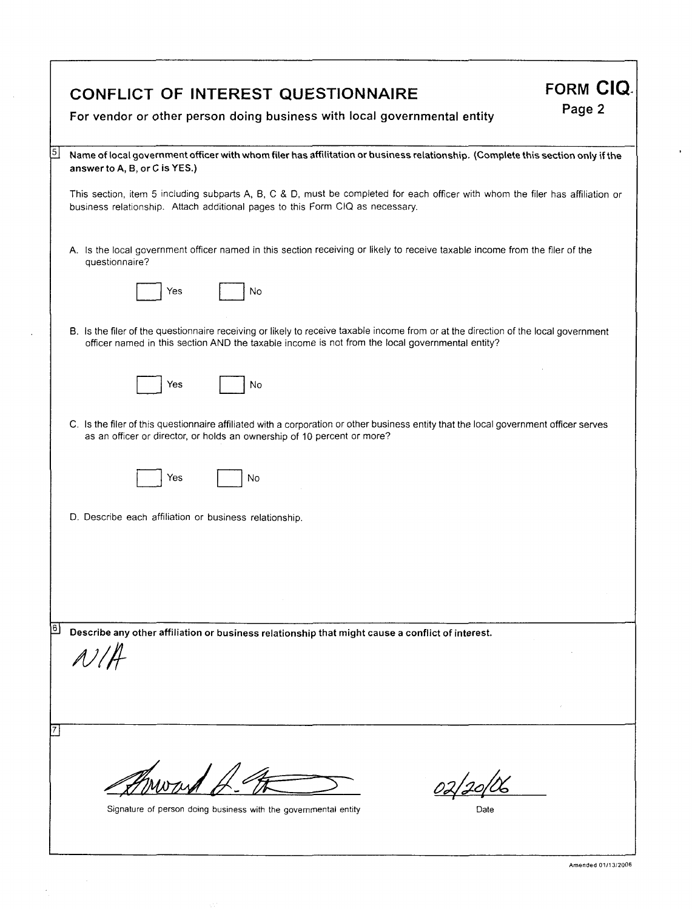|                     | <b>FORM CIQ.</b><br><b>CONFLICT OF INTEREST QUESTIONNAIRE</b><br>Page 2<br>For vendor or other person doing business with local governmental entity                                                                                                                                                                                                                                          |
|---------------------|----------------------------------------------------------------------------------------------------------------------------------------------------------------------------------------------------------------------------------------------------------------------------------------------------------------------------------------------------------------------------------------------|
| $\lfloor 5 \rfloor$ | Name of local government officer with whom filer has affilitation or business relationship. (Complete this section only if the<br>answer to A, B, or C is YES.)<br>This section, item 5 including subparts A, B, C & D, must be completed for each officer with whom the filer has affiliation or<br>business relationship. Attach additional pages to this Form CIQ as necessary.           |
|                     | A. Is the local government officer named in this section receiving or likely to receive taxable income from the filer of the<br>questionnaire?<br>No<br>Yes                                                                                                                                                                                                                                  |
|                     | B. Is the filer of the questionnaire receiving or likely to receive taxable income from or at the direction of the local government<br>officer named in this section AND the taxable income is not from the local governmental entity?<br>Yes<br>No<br>C. Is the filer of this questionnaire affiliated with a corporation or other business entity that the local government officer serves |
|                     | as an officer or director, or holds an ownership of 10 percent or more?<br>Yes<br>No<br>D. Describe each affiliation or business relationship.                                                                                                                                                                                                                                               |
| 16.                 |                                                                                                                                                                                                                                                                                                                                                                                              |
|                     | Describe any other affiliation or business relationship that might cause a conflict of interest.<br>A/1                                                                                                                                                                                                                                                                                      |
|                     | Signature of person doing business with the governmental entity                                                                                                                                                                                                                                                                                                                              |

 $\mathcal{A}$ 

 $\ddot{\phantom{a}}$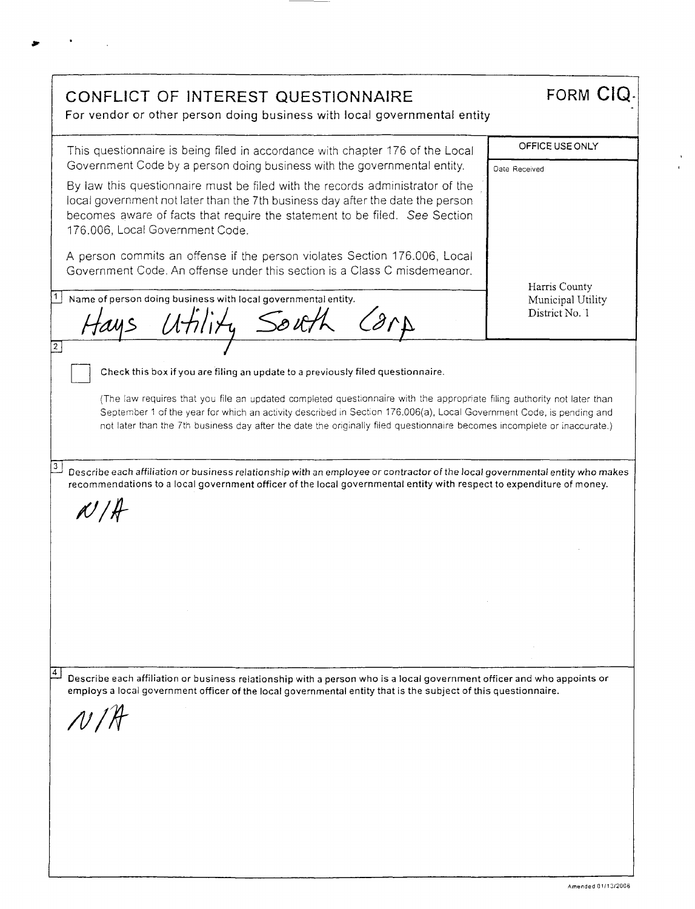CONFLICT OF INTEREST QUESTIONNAIRE FORM CIQ **For** vendor or other person doing business with local governmental entity OFFICE USE ONLY This questionnaire is being filed in accordance with chapter 176 of the Local Government Code by a person doing business with the governmental entity. Date Received By law this questionnaire must be filed with the records administrator of the local government not later than the 7th business day after the date the person becomes aware of facts that require the statement to be filed. See Section 176.006, Local Government Code. A person commits an offense if the person violates Section 176.006, Local Government Code. An offense under this section is a Class C misdemeanor. Harris County Name of person doing business with local governmental entity. Municipal Utility tays Utility South Carp District No. 1  $\boxed{2}$ Check this box if you are filing an update to a previously filed questionnaire. (The law requires that you file an updated completed questionnaire with the appropriate filing authority not later than September 1 of the year for which an activity described in Section 176.006(a), Local Government Code, is pending and not later than the 7th business day after the date the originally filed questionnaire becomes incomplete or inaccurate.)  $\overline{3}$  Describe each affiliation or business relationship with an employee or contractor of the local governmental entity who makes recommendations to a local government officer of the local governmental entity with respect to expenditure of money.  $N/H$ ±1\_1 Describe each affiliation or business relationship with a person who is a local government officer and who appoints or employs a local government officer of the local governmental entity that is the subject of this questionnaire. /11/4 Amended 01/13/2006

at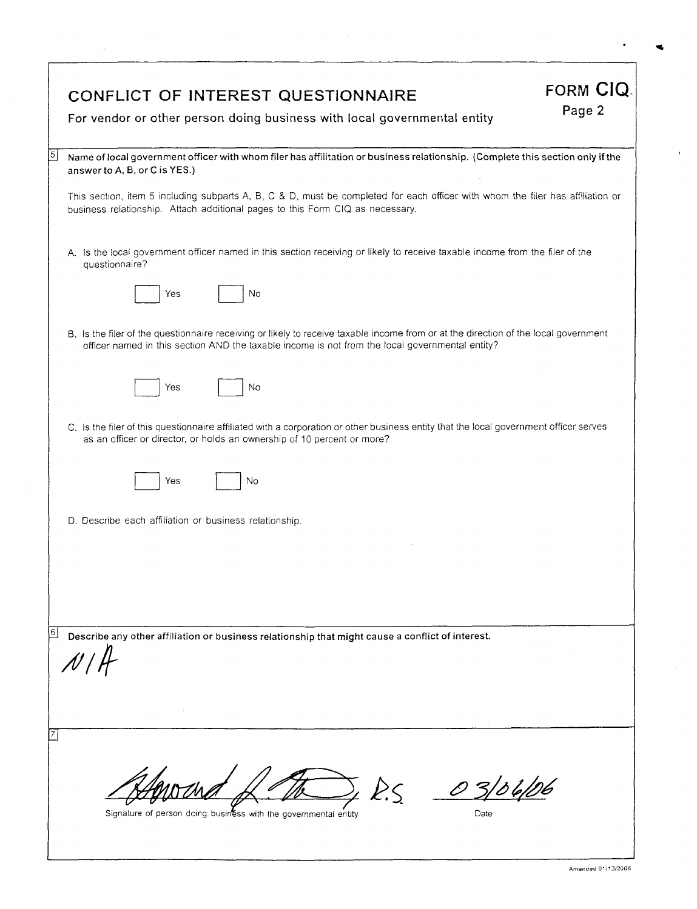|                | CONFLICT OF INTEREST QUESTIONNAIRE<br>For vendor or other person doing business with local governmental entity                                                                                                                         | <b>FORM CIQ.</b><br>Page 2 |
|----------------|----------------------------------------------------------------------------------------------------------------------------------------------------------------------------------------------------------------------------------------|----------------------------|
| $\overline{5}$ | Name of local government officer with whom filer has affilitation or business relationship. (Complete this section only if the<br>answer to A, B, or C is YES.)                                                                        |                            |
|                | This section, item 5 including subparts A, B, C & D, must be completed for each officer with whom the filer has affiliation or<br>business relationship. Attach additional pages to this Form CIQ as necessary.                        |                            |
|                | A. Is the local government officer named in this section receiving or likely to receive taxable income from the filer of the<br>questionnaire?                                                                                         |                            |
|                | No<br>Yes                                                                                                                                                                                                                              |                            |
|                | B. Is the filer of the questionnaire receiving or likely to receive taxable income from or at the direction of the local government<br>officer named in this section AND the taxable income is not from the local governmental entity? |                            |
|                | No<br>Yes                                                                                                                                                                                                                              |                            |
|                | C. Is the filer of this questionnaire affiliated with a corporation or other business entity that the local government officer serves<br>as an officer or director, or holds an ownership of 10 percent or more?                       |                            |
|                | Yes<br>No                                                                                                                                                                                                                              |                            |
|                | D. Describe each affiliation or business relationship.                                                                                                                                                                                 |                            |
|                |                                                                                                                                                                                                                                        |                            |
|                |                                                                                                                                                                                                                                        |                            |
|                |                                                                                                                                                                                                                                        |                            |
| 6              | Describe any other affiliation or business relationship that might cause a conflict of interest.                                                                                                                                       |                            |
|                | Signature of person doing business with the governmental entity<br>Date                                                                                                                                                                |                            |

 $\bar{z}$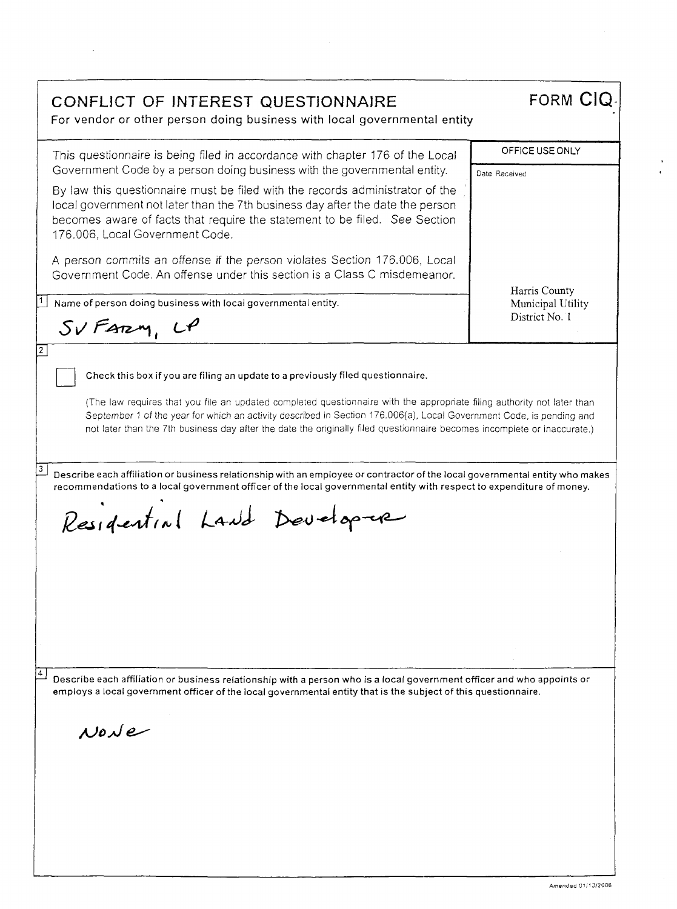| CONFLICT OF INTEREST QUESTIONNAIRE<br>For vendor or other person doing business with local governmental entity                                                                                                                                                                                                                                                                                                                                                                                                                                                                                                                                                    | <b>FORM CIQ</b>                     |
|-------------------------------------------------------------------------------------------------------------------------------------------------------------------------------------------------------------------------------------------------------------------------------------------------------------------------------------------------------------------------------------------------------------------------------------------------------------------------------------------------------------------------------------------------------------------------------------------------------------------------------------------------------------------|-------------------------------------|
| This questionnaire is being filed in accordance with chapter 176 of the Local                                                                                                                                                                                                                                                                                                                                                                                                                                                                                                                                                                                     | OFFICE USE ONLY                     |
| Government Code by a person doing business with the governmental entity.<br>By law this questionnaire must be filed with the records administrator of the<br>local government not later than the 7th business day after the date the person<br>becomes aware of facts that require the statement to be filed. See Section<br>176.006, Local Government Code.                                                                                                                                                                                                                                                                                                      | Date Received                       |
| A person commits an offense if the person violates Section 176.006, Local<br>Government Code. An offense under this section is a Class C misdemeanor.                                                                                                                                                                                                                                                                                                                                                                                                                                                                                                             | Harris County                       |
| Name of person doing business with local governmental entity.                                                                                                                                                                                                                                                                                                                                                                                                                                                                                                                                                                                                     | Municipal Utility<br>District No. 1 |
| SVFarm, UP                                                                                                                                                                                                                                                                                                                                                                                                                                                                                                                                                                                                                                                        |                                     |
| (The law requires that you file an updated completed questionnaire with the appropriate filing authority not later than<br>September 1 of the year for which an activity described in Section 176.006(a), Local Government Code, is pending and<br>not later than the 7th business day after the date the originally filed questionnaire becomes incomplete or inaccurate.)<br>Describe each affiliation or business relationship with an employee or contractor of the local governmental entity who makes<br>recommendations to a local government officer of the local governmental entity with respect to expenditure of money.<br>Residential Land Developme |                                     |
| Describe each affiliation or business relationship with a person who is a local government officer and who appoints or<br>employs a local government officer of the local governmental entity that is the subject of this questionnaire.                                                                                                                                                                                                                                                                                                                                                                                                                          |                                     |
| $N$ o $N$ e                                                                                                                                                                                                                                                                                                                                                                                                                                                                                                                                                                                                                                                       |                                     |

 $\ddot{\phantom{a}}$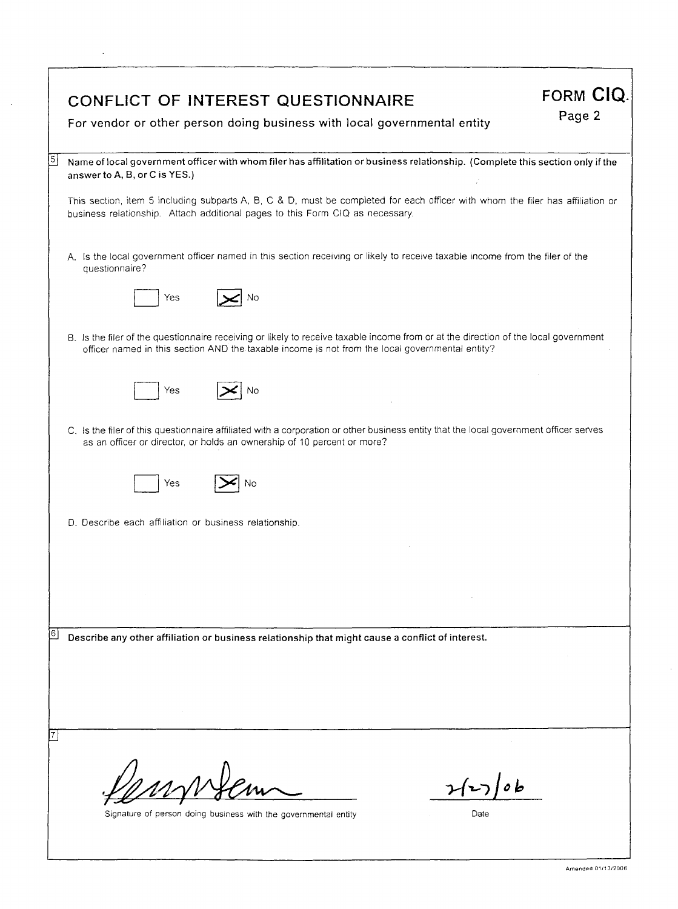| CONFLICT OF INTEREST QUESTIONNAIRE<br>For vendor or other person doing business with local governmental entity                                                                                                                         | FORM CIQ.<br>Page 2 |
|----------------------------------------------------------------------------------------------------------------------------------------------------------------------------------------------------------------------------------------|---------------------|
|                                                                                                                                                                                                                                        |                     |
| $\sqrt{5}$<br>Name of local government officer with whom filer has affilitation or business relationship. (Complete this section only if the<br>answer to A, B, or C is YES.)                                                          |                     |
| This section, item 5 including subparts A, B, C & D, must be completed for each officer with whom the filer has affiliation or<br>business relationship. Attach additional pages to this Form CIQ as necessary.                        |                     |
| A. Is the local government officer named in this section receiving or likely to receive taxable income from the filer of the<br>questionnaire?                                                                                         |                     |
| No<br>Yes                                                                                                                                                                                                                              |                     |
| B. Is the filer of the questionnaire receiving or likely to receive taxable income from or at the direction of the local government<br>officer named in this section AND the taxable income is not from the local governmental entity? |                     |
| Yes<br>No                                                                                                                                                                                                                              |                     |
| C. Is the filer of this questionnaire affiliated with a corporation or other business entity that the local government officer serves<br>as an officer or director, or holds an ownership of 10 percent or more?                       |                     |
| Yes<br>No                                                                                                                                                                                                                              |                     |
| D. Describe each affiliation or business relationship.                                                                                                                                                                                 |                     |
|                                                                                                                                                                                                                                        |                     |
|                                                                                                                                                                                                                                        |                     |
| 16<br>Describe any other affiliation or business relationship that might cause a conflict of interest.                                                                                                                                 |                     |
|                                                                                                                                                                                                                                        |                     |
|                                                                                                                                                                                                                                        |                     |
|                                                                                                                                                                                                                                        |                     |
| Signature of person doing business with the governmental entity<br>Date                                                                                                                                                                |                     |
|                                                                                                                                                                                                                                        |                     |

 $\mathcal{L}_{\mathcal{A}}$ 

 $\sim$ 

 $\sim$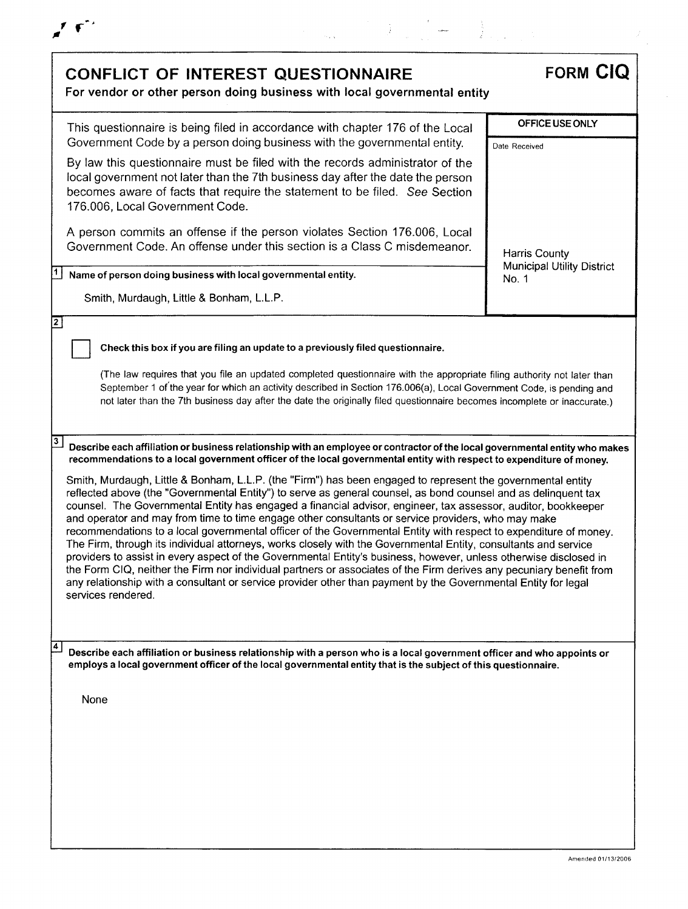

| <b>CONFLICT OF INTEREST QUESTIONNAIRE</b><br>For vendor or other person doing business with local governmental entity                                                                                                                                                                                                                                                                                                                                                                                                                                                                                                                                                                                                                                                                                                                                                                                                                                                                                                                                                           | <b>FORM CIQ</b>                            |
|---------------------------------------------------------------------------------------------------------------------------------------------------------------------------------------------------------------------------------------------------------------------------------------------------------------------------------------------------------------------------------------------------------------------------------------------------------------------------------------------------------------------------------------------------------------------------------------------------------------------------------------------------------------------------------------------------------------------------------------------------------------------------------------------------------------------------------------------------------------------------------------------------------------------------------------------------------------------------------------------------------------------------------------------------------------------------------|--------------------------------------------|
| This questionnaire is being filed in accordance with chapter 176 of the Local<br>Government Code by a person doing business with the governmental entity.                                                                                                                                                                                                                                                                                                                                                                                                                                                                                                                                                                                                                                                                                                                                                                                                                                                                                                                       | OFFICE USE ONLY<br>Date Received           |
| By law this questionnaire must be filed with the records administrator of the<br>local government not later than the 7th business day after the date the person<br>becomes aware of facts that require the statement to be filed. See Section<br>176.006, Local Government Code.                                                                                                                                                                                                                                                                                                                                                                                                                                                                                                                                                                                                                                                                                                                                                                                                |                                            |
| A person commits an offense if the person violates Section 176.006, Local<br>Government Code. An offense under this section is a Class C misdemeanor.                                                                                                                                                                                                                                                                                                                                                                                                                                                                                                                                                                                                                                                                                                                                                                                                                                                                                                                           | Harris County                              |
| Name of person doing business with local governmental entity.                                                                                                                                                                                                                                                                                                                                                                                                                                                                                                                                                                                                                                                                                                                                                                                                                                                                                                                                                                                                                   | <b>Municipal Utility District</b><br>No. 1 |
| Smith, Murdaugh, Little & Bonham, L.L.P.                                                                                                                                                                                                                                                                                                                                                                                                                                                                                                                                                                                                                                                                                                                                                                                                                                                                                                                                                                                                                                        |                                            |
|                                                                                                                                                                                                                                                                                                                                                                                                                                                                                                                                                                                                                                                                                                                                                                                                                                                                                                                                                                                                                                                                                 |                                            |
| Check this box if you are filing an update to a previously filed questionnaire.                                                                                                                                                                                                                                                                                                                                                                                                                                                                                                                                                                                                                                                                                                                                                                                                                                                                                                                                                                                                 |                                            |
| (The law requires that you file an updated completed questionnaire with the appropriate filing authority not later than<br>September 1 of the year for which an activity described in Section 176.006(a), Local Government Code, is pending and<br>not later than the 7th business day after the date the originally filed questionnaire becomes incomplete or inaccurate.)                                                                                                                                                                                                                                                                                                                                                                                                                                                                                                                                                                                                                                                                                                     |                                            |
| Describe each affiliation or business relationship with an employee or contractor of the local governmental entity who makes<br>recommendations to a local government officer of the local governmental entity with respect to expenditure of money.                                                                                                                                                                                                                                                                                                                                                                                                                                                                                                                                                                                                                                                                                                                                                                                                                            |                                            |
| Smith, Murdaugh, Little & Bonham, L.L.P. (the "Firm") has been engaged to represent the governmental entity<br>reflected above (the "Governmental Entity") to serve as general counsel, as bond counsel and as delinquent tax<br>counsel. The Governmental Entity has engaged a financial advisor, engineer, tax assessor, auditor, bookkeeper<br>and operator and may from time to time engage other consultants or service providers, who may make<br>recommendations to a local governmental officer of the Governmental Entity with respect to expenditure of money.<br>The Firm, through its individual attorneys, works closely with the Governmental Entity, consultants and service<br>providers to assist in every aspect of the Governmental Entity's business, however, unless otherwise disclosed in<br>the Form CIQ, neither the Firm nor individual partners or associates of the Firm derives any pecuniary benefit from<br>any relationship with a consultant or service provider other than payment by the Governmental Entity for legal<br>services rendered. |                                            |
|                                                                                                                                                                                                                                                                                                                                                                                                                                                                                                                                                                                                                                                                                                                                                                                                                                                                                                                                                                                                                                                                                 |                                            |
| Describe each affiliation or business relationship with a person who is a local government officer and who appoints or<br>employs a local government officer of the local governmental entity that is the subject of this questionnaire.                                                                                                                                                                                                                                                                                                                                                                                                                                                                                                                                                                                                                                                                                                                                                                                                                                        |                                            |
| None                                                                                                                                                                                                                                                                                                                                                                                                                                                                                                                                                                                                                                                                                                                                                                                                                                                                                                                                                                                                                                                                            |                                            |
|                                                                                                                                                                                                                                                                                                                                                                                                                                                                                                                                                                                                                                                                                                                                                                                                                                                                                                                                                                                                                                                                                 |                                            |
|                                                                                                                                                                                                                                                                                                                                                                                                                                                                                                                                                                                                                                                                                                                                                                                                                                                                                                                                                                                                                                                                                 |                                            |
|                                                                                                                                                                                                                                                                                                                                                                                                                                                                                                                                                                                                                                                                                                                                                                                                                                                                                                                                                                                                                                                                                 |                                            |
|                                                                                                                                                                                                                                                                                                                                                                                                                                                                                                                                                                                                                                                                                                                                                                                                                                                                                                                                                                                                                                                                                 |                                            |
|                                                                                                                                                                                                                                                                                                                                                                                                                                                                                                                                                                                                                                                                                                                                                                                                                                                                                                                                                                                                                                                                                 |                                            |